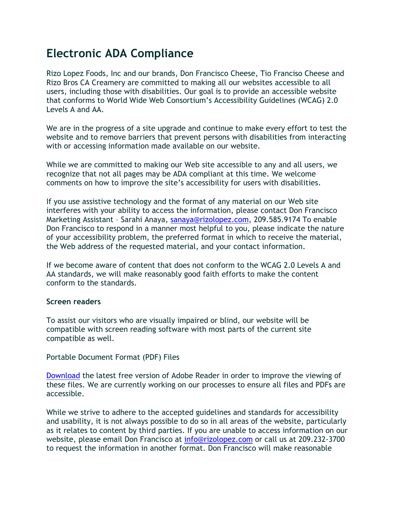## **Electronic ADA Compliance**

Rizo Lopez Foods, Inc and our brands, Don Francisco Cheese, Tio Franciso Cheese and Rizo Bros CA Creamery are committed to making all our websites accessible to all users, including those with disabilities. Our goal is to provide an accessible website that conforms to World Wide Web Consortium's Accessibility Guidelines (WCAG) 2.0 Levels A and AA.

We are in the progress of a site upgrade and continue to make every effort to test the website and to remove barriers that prevent persons with disabilities from interacting with or accessing information made available on our website.

While we are committed to making our Web site accessible to any and all users, we recognize that not all pages may be ADA compliant at this time. We welcome comments on how to improve the site's accessibility for users with disabilities.

If you use assistive technology and the format of any material on our Web site interferes with your ability to access the information, please contact Don Francisco Marketing Assistant – Sarahi Anaya, sanaya@rizolopez.com, 209.585.9174 To enable Don Francisco to respond in a manner most helpful to you, please indicate the nature of your accessibility problem, the preferred format in which to receive the material, the Web address of the requested material, and your contact information.

If we become aware of content that does not conform to the WCAG 2.0 Levels A and AA standards, we will make reasonably good faith efforts to make the content conform to the standards.

## **Screen readers**

To assist our visitors who are visually impaired or blind, our website will be compatible with screen reading software with most parts of the current site compatible as well.

Portable Document Format (PDF) Files

[Download](https://www.adobe.com/acrobat/pdf-reader.html) the latest free version of Adobe Reader in order to improve the viewing of these files. We are currently working on our processes to ensure all files and PDFs are accessible.

While we strive to adhere to the accepted guidelines and standards for accessibility and usability, it is not always possible to do so in all areas of the website, particularly as it relates to content by third parties. If you are unable to access information on our website, please email Don Francisco at [info@rizolopez.com](mailto:info@rizolopez.com) or call us at 209.232-3700 to request the information in another format. Don Francisco will make reasonable